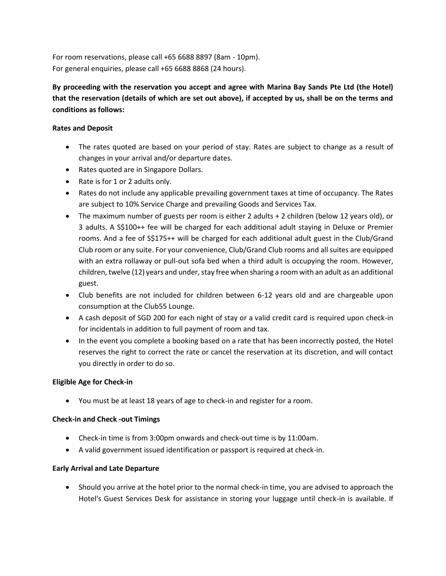For room reservations, please call +65 6688 8897 (8am - 10pm). For general enquiries, please call +65 6688 8868 (24 hours).

**By proceeding with the reservation you accept and agree with Marina Bay Sands Pte Ltd (the Hotel) that the reservation (details of which are set out above), if accepted by us, shall be on the terms and conditions as follows:**

# **Rates and Deposit**

- The rates quoted are based on your period of stay. Rates are subject to change as a result of changes in your arrival and/or departure dates.
- Rates quoted are in Singapore Dollars.
- Rate is for 1 or 2 adults only.
- Rates do not include any applicable prevailing government taxes at time of occupancy. The Rates are subject to 10% Service Charge and prevailing Goods and Services Tax.
- The maximum number of guests per room is either 2 adults + 2 children (below 12 years old), or 3 adults. A S\$100++ fee will be charged for each additional adult staying in Deluxe or Premier rooms. And a fee of S\$175++ will be charged for each additional adult guest in the Club/Grand Club room or any suite. For your convenience, Club/Grand Club rooms and all suites are equipped with an extra rollaway or pull-out sofa bed when a third adult is occupying the room. However, children, twelve (12) years and under, stay free when sharing a room with an adult as an additional guest.
- Club benefits are not included for children between 6-12 years old and are chargeable upon consumption at the Club55 Lounge.
- A cash deposit of SGD 200 for each night of stay or a valid credit card is required upon check-in for incidentals in addition to full payment of room and tax.
- In the event you complete a booking based on a rate that has been incorrectly posted, the Hotel reserves the right to correct the rate or cancel the reservation at its discretion, and will contact you directly in order to do so.

# **Eligible Age for Check-in**

You must be at least 18 years of age to check-in and register for a room.

# **Check-in and Check -out Timings**

- Check-in time is from 3:00pm onwards and check-out time is by 11:00am.
- A valid government issued identification or passport is required at check-in.

# **Early Arrival and Late Departure**

 Should you arrive at the hotel prior to the normal check-in time, you are advised to approach the Hotel's Guest Services Desk for assistance in storing your luggage until check-in is available. If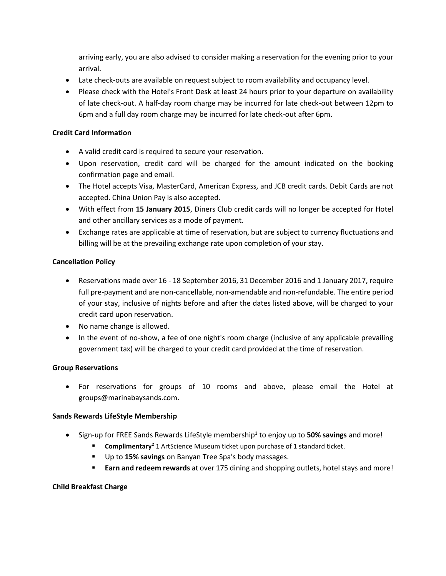arriving early, you are also advised to consider making a reservation for the evening prior to your arrival.

- Late check-outs are available on request subject to room availability and occupancy level.
- Please check with the Hotel's Front Desk at least 24 hours prior to your departure on availability of late check-out. A half-day room charge may be incurred for late check-out between 12pm to 6pm and a full day room charge may be incurred for late check-out after 6pm.

## **Credit Card Information**

- A valid credit card is required to secure your reservation.
- Upon reservation, credit card will be charged for the amount indicated on the booking confirmation page and email.
- The Hotel accepts Visa, MasterCard, American Express, and JCB credit cards. Debit Cards are not accepted. China Union Pay is also accepted.
- With effect from **15 January 2015**, Diners Club credit cards will no longer be accepted for Hotel and other ancillary services as a mode of payment.
- Exchange rates are applicable at time of reservation, but are subject to currency fluctuations and billing will be at the prevailing exchange rate upon completion of your stay.

# **Cancellation Policy**

- Reservations made over 16 18 September 2016, 31 December 2016 and 1 January 2017, require full pre-payment and are non-cancellable, non-amendable and non-refundable. The entire period of your stay, inclusive of nights before and after the dates listed above, will be charged to your credit card upon reservation.
- No name change is allowed.
- In the event of no-show, a fee of one night's room charge (inclusive of any applicable prevailing government tax) will be charged to your credit card provided at the time of reservation.

### **Group Reservations**

 For reservations for groups of 10 rooms and above, please email the Hotel at groups@marinabaysands.com.

### **Sands Rewards LifeStyle Membership**

- **Sign-up for FREE Sands Rewards LifeStyle membership<sup>1</sup> to enjoy up to 50% savings and more!** 
	- **Complimentary<sup>2</sup> 1** ArtScience Museum ticket upon purchase of 1 standard ticket.
	- Up to **15% savings** on Banyan Tree Spa's body massages.
	- **Earn and redeem rewards** at over 175 dining and shopping outlets, hotel stays and more!

### **Child Breakfast Charge**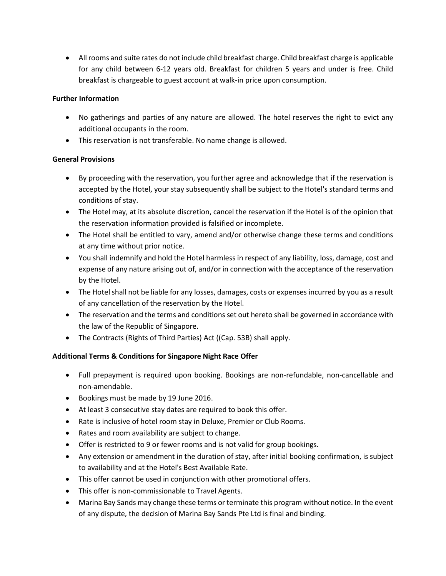All rooms and suite rates do not include child breakfast charge. Child breakfast charge is applicable for any child between 6-12 years old. Breakfast for children 5 years and under is free. Child breakfast is chargeable to guest account at walk-in price upon consumption.

# **Further Information**

- No gatherings and parties of any nature are allowed. The hotel reserves the right to evict any additional occupants in the room.
- This reservation is not transferable. No name change is allowed.

# **General Provisions**

- By proceeding with the reservation, you further agree and acknowledge that if the reservation is accepted by the Hotel, your stay subsequently shall be subject to the Hotel's standard terms and conditions of stay.
- The Hotel may, at its absolute discretion, cancel the reservation if the Hotel is of the opinion that the reservation information provided is falsified or incomplete.
- The Hotel shall be entitled to vary, amend and/or otherwise change these terms and conditions at any time without prior notice.
- You shall indemnify and hold the Hotel harmless in respect of any liability, loss, damage, cost and expense of any nature arising out of, and/or in connection with the acceptance of the reservation by the Hotel.
- The Hotel shall not be liable for any losses, damages, costs or expenses incurred by you as a result of any cancellation of the reservation by the Hotel.
- The reservation and the terms and conditions set out hereto shall be governed in accordance with the law of the Republic of Singapore.
- The Contracts (Rights of Third Parties) Act ((Cap. 53B) shall apply.

# **Additional Terms & Conditions for Singapore Night Race Offer**

- Full prepayment is required upon booking. Bookings are non-refundable, non-cancellable and non-amendable.
- Bookings must be made by 19 June 2016.
- At least 3 consecutive stay dates are required to book this offer.
- Rate is inclusive of hotel room stay in Deluxe, Premier or Club Rooms.
- Rates and room availability are subject to change.
- Offer is restricted to 9 or fewer rooms and is not valid for group bookings.
- Any extension or amendment in the duration of stay, after initial booking confirmation, is subject to availability and at the Hotel's Best Available Rate.
- This offer cannot be used in conjunction with other promotional offers.
- This offer is non-commissionable to Travel Agents.
- Marina Bay Sands may change these terms or terminate this program without notice. In the event of any dispute, the decision of Marina Bay Sands Pte Ltd is final and binding.